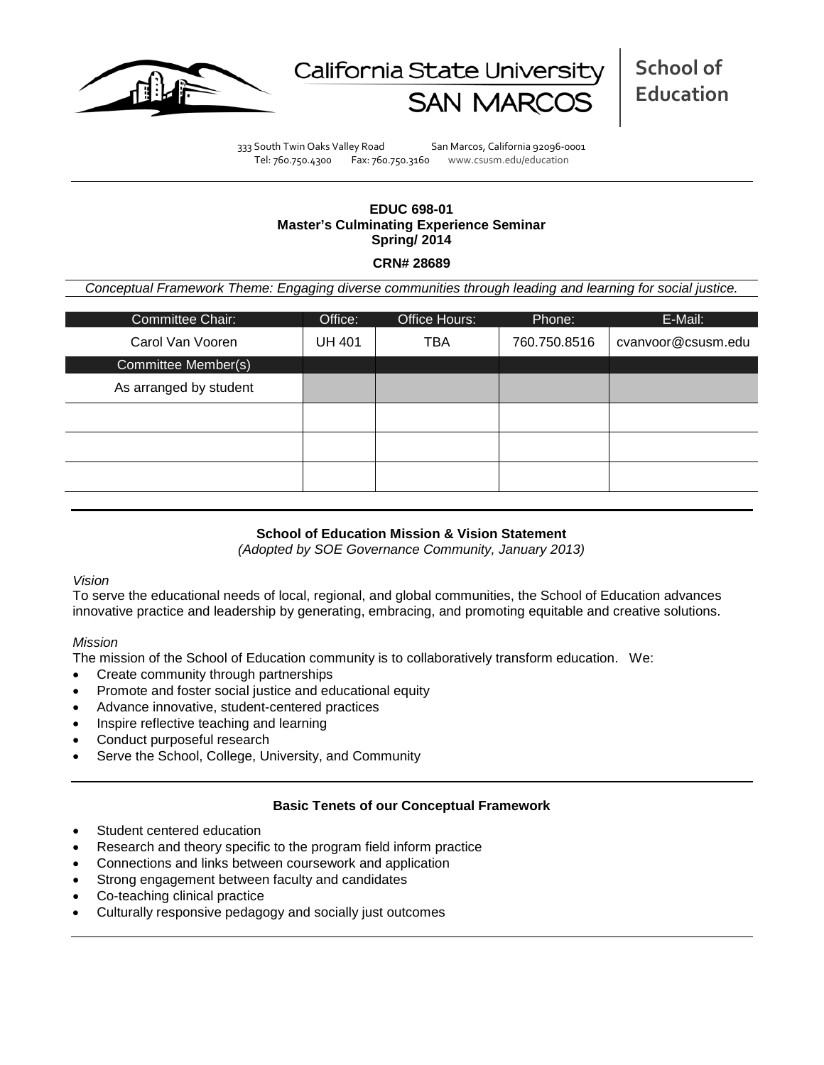



333 South Twin Oaks Valley Road San Marcos, California 92096-0001 Tel: 760.750.4300 Fax: 760.750.3160 www.csusm.edu/education

# **EDUC 698-01 Master's Culminating Experience Seminar Spring/ 2014**

### **CRN# 28689**

*Conceptual Framework Theme: Engaging diverse communities through leading and learning for social justice.*

| Committee Chair:       | Office:       | Office Hours: | Phone:       | E-Mail:            |
|------------------------|---------------|---------------|--------------|--------------------|
| Carol Van Vooren       | <b>UH 401</b> | TBA           | 760.750.8516 | cvanvoor@csusm.edu |
| Committee Member(s)    |               |               |              |                    |
| As arranged by student |               |               |              |                    |
|                        |               |               |              |                    |
|                        |               |               |              |                    |
|                        |               |               |              |                    |
|                        |               |               |              |                    |

# **School of Education Mission & Vision Statement**

*(Adopted by SOE Governance Community, January 2013)*

### *Vision*

To serve the educational needs of local, regional, and global communities, the School of Education advances innovative practice and leadership by generating, embracing, and promoting equitable and creative solutions.

### *Mission*

The mission of the School of Education community is to collaboratively transform education. We:

- Create community through partnerships
- Promote and foster social justice and educational equity
- Advance innovative, student-centered practices
- Inspire reflective teaching and learning
- Conduct purposeful research
- Serve the School, College, University, and Community

### **Basic Tenets of our Conceptual Framework**

- Student centered education
- Research and theory specific to the program field inform practice
- Connections and links between coursework and application
- Strong engagement between faculty and candidates
- Co-teaching clinical practice
- Culturally responsive pedagogy and socially just outcomes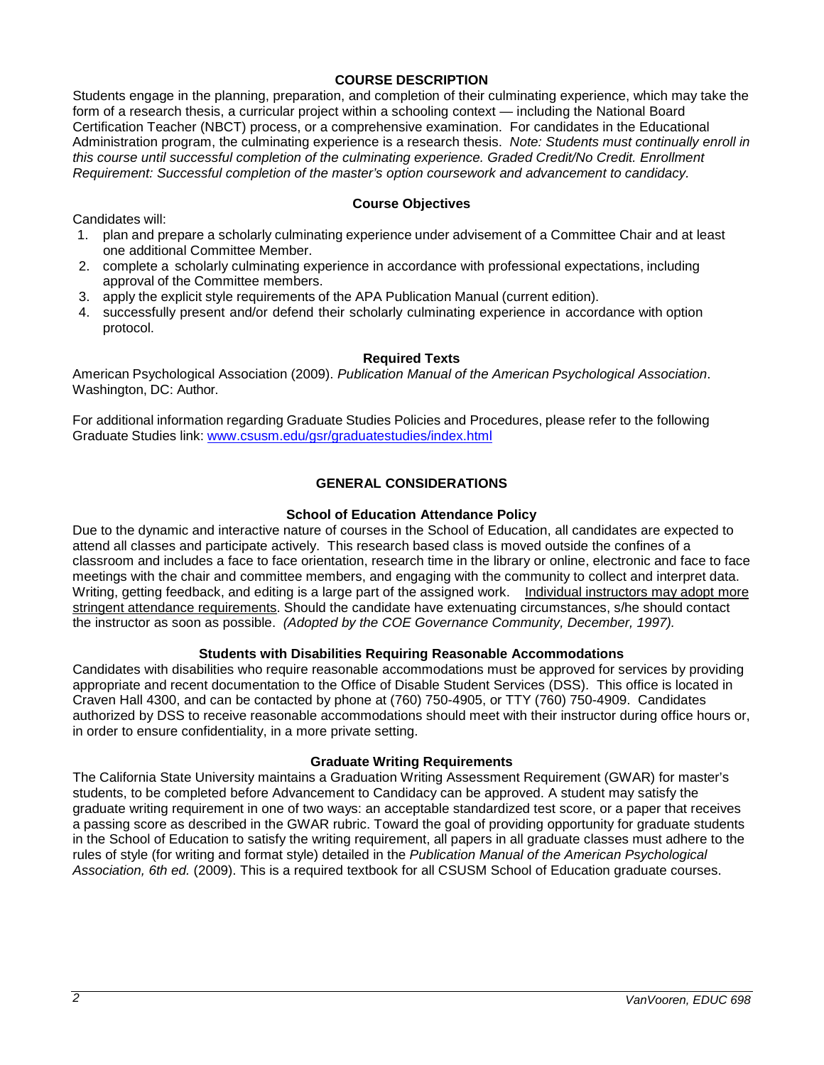### **COURSE DESCRIPTION**

Students engage in the planning, preparation, and completion of their culminating experience, which may take the form of a research thesis, a curricular project within a schooling context — including the National Board Certification Teacher (NBCT) process, or a comprehensive examination. For candidates in the Educational Administration program, the culminating experience is a research thesis. *Note: Students must continually enroll in this course until successful completion of the culminating experience. Graded Credit/No Credit. Enrollment Requirement: Successful completion of the master's option coursework and advancement to candidacy.*

Candidates will:

1. plan and prepare a scholarly culminating experience under advisement of a Committee Chair and at least one additional Committee Member.

**Course Objectives**

- 2. complete a scholarly culminating experience in accordance with professional expectations, including approval of the Committee members.
- 3. apply the explicit style requirements of the APA Publication Manual (current edition).
- 4. successfully present and/or defend their scholarly culminating experience in accordance with option protocol.

### **Required Texts**

American Psychological Association (2009). *Publication Manual of the American Psychological Association*. Washington, DC: Author.

For additional information regarding Graduate Studies Policies and Procedures, please refer to the following Graduate Studies link: [www.csusm.edu/gsr/graduatestudies/index.html](http://www.csusm.edu/gsr/graduatestudies/index.html)

# **GENERAL CONSIDERATIONS**

### **School of Education Attendance Policy**

Due to the dynamic and interactive nature of courses in the School of Education, all candidates are expected to attend all classes and participate actively. This research based class is moved outside the confines of a classroom and includes a face to face orientation, research time in the library or online, electronic and face to face meetings with the chair and committee members, and engaging with the community to collect and interpret data. Writing, getting feedback, and editing is a large part of the assigned work. Individual instructors may adopt more stringent attendance requirements. Should the candidate have extenuating circumstances, s/he should contact the instructor as soon as possible. *(Adopted by the COE Governance Community, December, 1997).*

### **Students with Disabilities Requiring Reasonable Accommodations**

Candidates with disabilities who require reasonable accommodations must be approved for services by providing appropriate and recent documentation to the Office of Disable Student Services (DSS). This office is located in Craven Hall 4300, and can be contacted by phone at (760) 750-4905, or TTY (760) 750-4909. Candidates authorized by DSS to receive reasonable accommodations should meet with their instructor during office hours or, in order to ensure confidentiality, in a more private setting.

### **Graduate Writing Requirements**

The California State University maintains a Graduation Writing Assessment Requirement (GWAR) for master's students, to be completed before Advancement to Candidacy can be approved. A student may satisfy the graduate writing requirement in one of two ways: an acceptable standardized test score, or a paper that receives a passing score as described in the GWAR rubric. Toward the goal of providing opportunity for graduate students in the School of Education to satisfy the writing requirement, all papers in all graduate classes must adhere to the rules of style (for writing and format style) detailed in the *Publication Manual of the American Psychological Association, 6th ed.* (2009). This is a required textbook for all CSUSM School of Education graduate courses.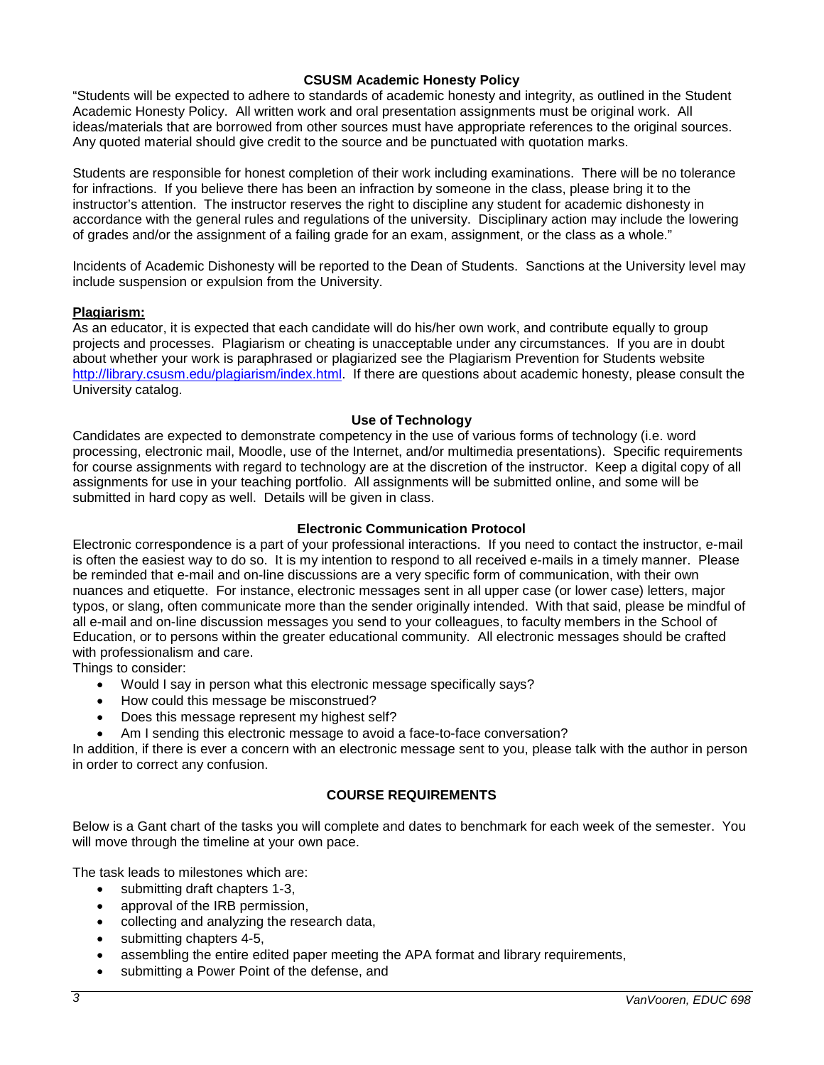### **CSUSM Academic Honesty Policy**

"Students will be expected to adhere to standards of academic honesty and integrity, as outlined in the Student Academic Honesty Policy. All written work and oral presentation assignments must be original work. All ideas/materials that are borrowed from other sources must have appropriate references to the original sources. Any quoted material should give credit to the source and be punctuated with quotation marks.

Students are responsible for honest completion of their work including examinations. There will be no tolerance for infractions. If you believe there has been an infraction by someone in the class, please bring it to the instructor's attention. The instructor reserves the right to discipline any student for academic dishonesty in accordance with the general rules and regulations of the university. Disciplinary action may include the lowering of grades and/or the assignment of a failing grade for an exam, assignment, or the class as a whole."

Incidents of Academic Dishonesty will be reported to the Dean of Students. Sanctions at the University level may include suspension or expulsion from the University.

### **Plagiarism:**

As an educator, it is expected that each candidate will do his/her own work, and contribute equally to group projects and processes. Plagiarism or cheating is unacceptable under any circumstances. If you are in doubt about whether your work is paraphrased or plagiarized see the Plagiarism Prevention for Students website [http://library.csusm.edu/plagiarism/index.html.](http://library.csusm.edu/plagiarism/index.html) If there are questions about academic honesty, please consult the University catalog.

### **Use of Technology**

Candidates are expected to demonstrate competency in the use of various forms of technology (i.e. word processing, electronic mail, Moodle, use of the Internet, and/or multimedia presentations). Specific requirements for course assignments with regard to technology are at the discretion of the instructor. Keep a digital copy of all assignments for use in your teaching portfolio. All assignments will be submitted online, and some will be submitted in hard copy as well. Details will be given in class.

### **Electronic Communication Protocol**

Electronic correspondence is a part of your professional interactions. If you need to contact the instructor, e-mail is often the easiest way to do so. It is my intention to respond to all received e-mails in a timely manner. Please be reminded that e-mail and on-line discussions are a very specific form of communication, with their own nuances and etiquette. For instance, electronic messages sent in all upper case (or lower case) letters, major typos, or slang, often communicate more than the sender originally intended. With that said, please be mindful of all e-mail and on-line discussion messages you send to your colleagues, to faculty members in the School of Education, or to persons within the greater educational community. All electronic messages should be crafted with professionalism and care.

Things to consider:

- Would I say in person what this electronic message specifically says?
- How could this message be misconstrued?
- Does this message represent my highest self?
- Am I sending this electronic message to avoid a face-to-face conversation?

In addition, if there is ever a concern with an electronic message sent to you, please talk with the author in person in order to correct any confusion.

# **COURSE REQUIREMENTS**

Below is a Gant chart of the tasks you will complete and dates to benchmark for each week of the semester. You will move through the timeline at your own pace.

The task leads to milestones which are:

- submitting draft chapters 1-3,
- approval of the IRB permission,
- collecting and analyzing the research data,
- submitting chapters 4-5,
- assembling the entire edited paper meeting the APA format and library requirements,
- submitting a Power Point of the defense, and